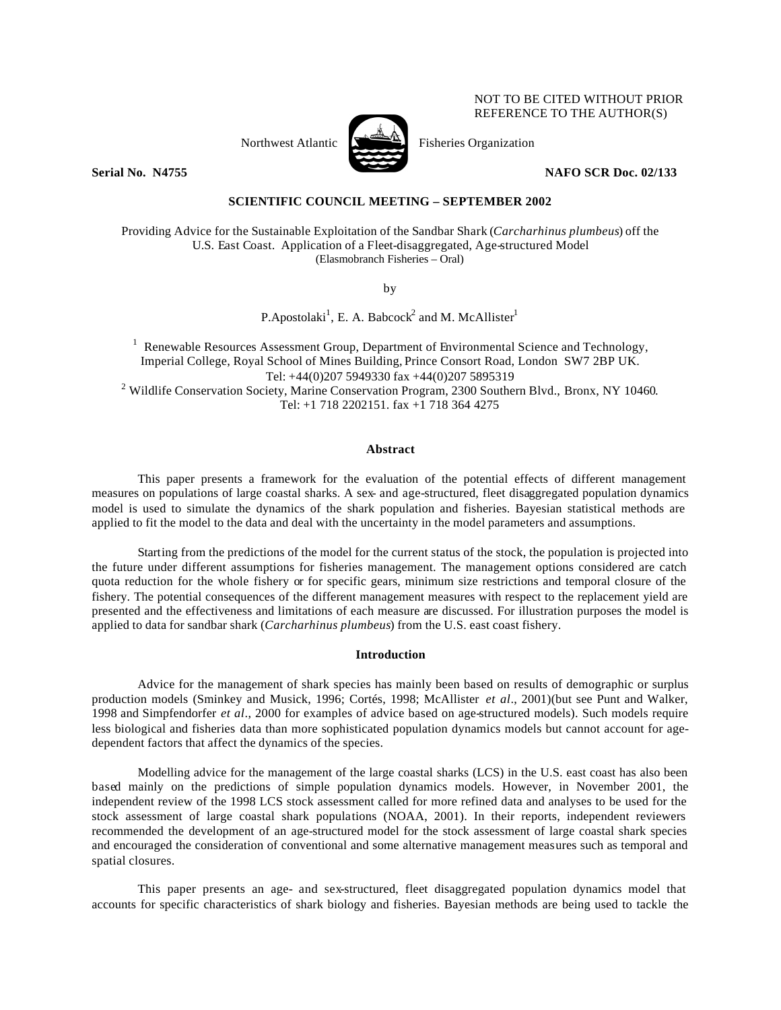# Northwest Atlantic  $\sum_{n=1}^{\infty}$  Fisheries Organization



NOT TO BE CITED WITHOUT PRIOR REFERENCE TO THE AUTHOR(S)

**Serial No. N4755 NAFO SCR Doc. 02/133**

# **SCIENTIFIC COUNCIL MEETING – SEPTEMBER 2002**

Providing Advice for the Sustainable Exploitation of the Sandbar Shark (*Carcharhinus plumbeus*) off the U.S. East Coast. Application of a Fleet-disaggregated, Age-structured Model (Elasmobranch Fisheries – Oral)

by

P.Apostolaki<sup>1</sup>, E. A. Babcock<sup>2</sup> and M. McAllister<sup>1</sup>

<sup>1</sup> Renewable Resources Assessment Group, Department of Environmental Science and Technology, Imperial College, Royal School of Mines Building, Prince Consort Road, London SW7 2BP UK. Tel: +44(0)207 5949330 fax +44(0)207 5895319 <sup>2</sup> Wildlife Conservation Society, Marine Conservation Program, 2300 Southern Blvd., Bronx, NY 10460. Tel: +1 718 2202151. fax +1 718 364 4275

# **Abstract**

This paper presents a framework for the evaluation of the potential effects of different management measures on populations of large coastal sharks. A sex- and age-structured, fleet disaggregated population dynamics model is used to simulate the dynamics of the shark population and fisheries. Bayesian statistical methods are applied to fit the model to the data and deal with the uncertainty in the model parameters and assumptions.

Starting from the predictions of the model for the current status of the stock, the population is projected into the future under different assumptions for fisheries management. The management options considered are catch quota reduction for the whole fishery or for specific gears, minimum size restrictions and temporal closure of the fishery. The potential consequences of the different management measures with respect to the replacement yield are presented and the effectiveness and limitations of each measure are discussed. For illustration purposes the model is applied to data for sandbar shark (*Carcharhinus plumbeus*) from the U.S. east coast fishery.

# **Introduction**

Advice for the management of shark species has mainly been based on results of demographic or surplus production models (Sminkey and Musick, 1996; Cortés, 1998; McAllister *et al*., 2001)(but see Punt and Walker, 1998 and Simpfendorfer *et al*., 2000 for examples of advice based on age-structured models). Such models require less biological and fisheries data than more sophisticated population dynamics models but cannot account for agedependent factors that affect the dynamics of the species.

Modelling advice for the management of the large coastal sharks (LCS) in the U.S. east coast has also been based mainly on the predictions of simple population dynamics models. However, in November 2001, the independent review of the 1998 LCS stock assessment called for more refined data and analyses to be used for the stock assessment of large coastal shark populations (NOAA, 2001). In their reports, independent reviewers recommended the development of an age-structured model for the stock assessment of large coastal shark species and encouraged the consideration of conventional and some alternative management measures such as temporal and spatial closures.

This paper presents an age- and sex-structured, fleet disaggregated population dynamics model that accounts for specific characteristics of shark biology and fisheries. Bayesian methods are being used to tackle the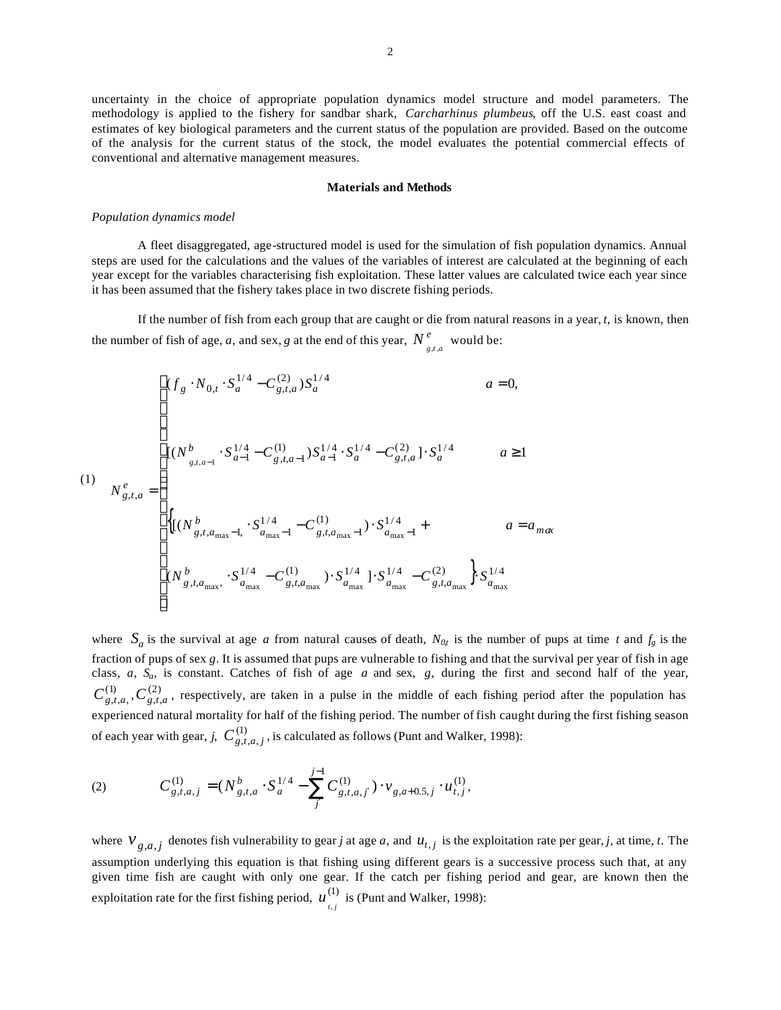uncertainty in the choice of appropriate population dynamics model structure and model parameters. The methodology is applied to the fishery for sandbar shark, *Carcharhinus plumbeus*, off the U.S. east coast and estimates of key biological parameters and the current status of the population are provided. Based on the outcome of the analysis for the current status of the stock, the model evaluates the potential commercial effects of conventional and alternative management measures.

#### **Materials and Methods**

#### *Population dynamics model*

A fleet disaggregated, age-structured model is used for the simulation of fish population dynamics. Annual steps are used for the calculations and the values of the variables of interest are calculated at the beginning of each year except for the variables characterising fish exploitation. These latter values are calculated twice each year since it has been assumed that the fishery takes place in two discrete fishing periods.

If the number of fish from each group that are caught or die from natural reasons in a year, *t*, is known, then the number of fish of age, *a*, and sex, *g* at the end of this year,  $N^e_{g,t,a}$  would be:

(1)  
\n
$$
N_{g,t,a}^{e} = \begin{cases}\n\left[ (f_g \cdot N_{0,t} \cdot S_a^{1/4} - C_{g,t,a}^{(2)}) S_a^{1/4} & a = 0, \\
\left[ (N_{g,t,a-1}^{b} \cdot S_{a-1}^{1/4} - C_{g,t,a-1}^{(1)}) S_{a-1}^{1/4} \cdot S_a^{1/4} - C_{g,t,a}^{(2)} \right] \cdot S_a^{1/4} & a \ge 1 \\
\left\{ \left[ (N_{g,t,a_{\text{max}}-1}^{b}, S_{a_{\text{max}}-1}^{1/4} - C_{g,t,a_{\text{max}}-1}^{(1)}) \cdot S_{a_{\text{max}}-1}^{1/4} + a = a_{\text{max}} \right. \\
\left. (N_{g,t,a_{\text{max}}}^{b}, S_{a_{\text{max}}}^{1/4} - C_{g,t,a_{\text{max}}}^{(1)}) \cdot S_{a_{\text{max}}}^{1/4} \right] \cdot S_{a_{\text{max}}}^{1/4} - C_{g,t,a_{\text{max}}}^{(2)} \right\} S_{a_{\text{max}}}^{1/4}
$$

where  $S_a$  is the survival at age *a* from natural causes of death,  $N_{0t}$  is the number of pups at time *t* and  $f_g$  is the fraction of pups of sex *g*. It is assumed that pups are vulnerable to fishing and that the survival per year of fish in age class, *a*, *Sa*, is constant. Catches of fish of age *a* and sex, *g*, during the first and second half of the year,  $C^{(1)}_{g,t,a}$ ,  $C^{(2)}_{g,t,a}$ , respectively, are taken in a pulse in the middle of each fishing period after the population has experienced natural mortality for half of the fishing period. The number of fish caught during the first fishing season of each year with gear, *j*,  $C_{g,t,a,j}^{(1)}$ , is calculated as follows (Punt and Walker, 1998):

(2) 
$$
C_{g,t,a,j}^{(1)} = (N_{g,t,a}^b \cdot S_a^{1/4} - \sum_j^{j-1} C_{g,t,a,j'}^{(1)}) \cdot v_{g,a+0.5,j} \cdot u_{t,j}^{(1)},
$$

where  $V_{g,a,j}$  denotes fish vulnerability to gear *j* at age *a*, and  $u_{t,j}$  is the exploitation rate per gear, *j*, at time, *t*. The assumption underlying this equation is that fishing using different gears is a successive process such that, at any given time fish are caught with only one gear. If the catch per fishing period and gear, are known then the exploitation rate for the first fishing period,  $u_{i,j}^{(1)}$  is (Punt and Walker, 1998):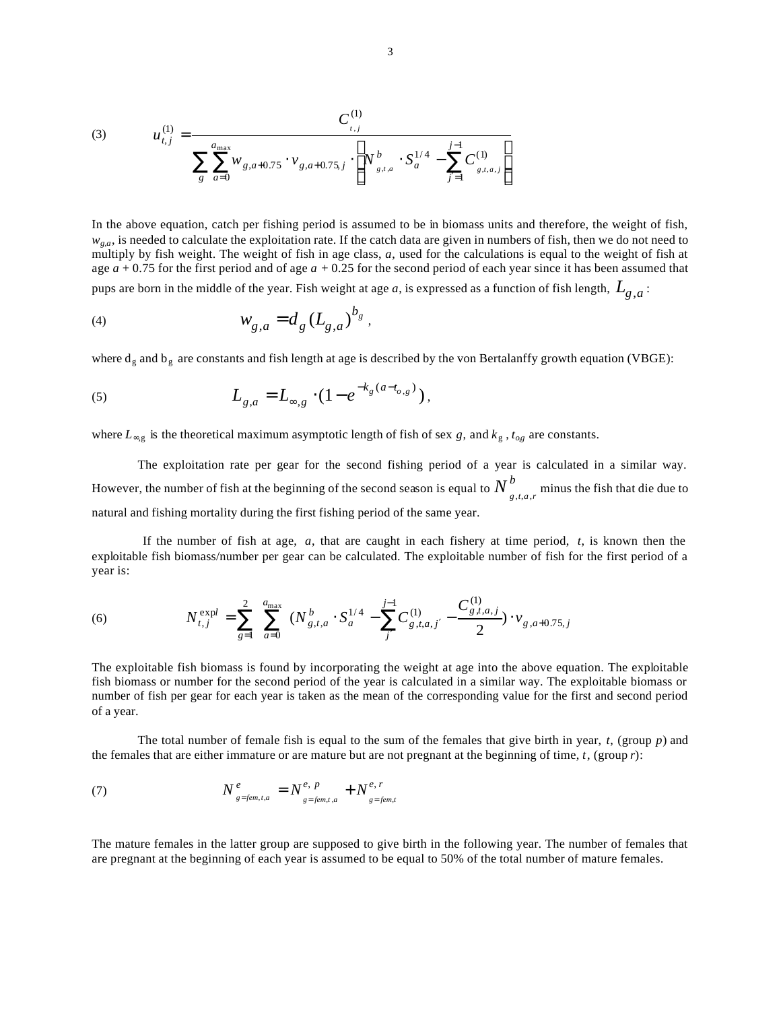(3) 
$$
u_{t,j}^{(1)} = \frac{C_{t,j}^{(1)}}{\sum_{g} \sum_{a=0}^{a_{\text{max}}} w_{g,a+0.75} \cdot v_{g,a+0.75,j} \cdot \left[ N_{g,t,a}^{b} \cdot S_a^{1/4} - \sum_{j=1}^{j-1} C_{g,t,a,j}^{(1)} \right]}
$$

In the above equation, catch per fishing period is assumed to be in biomass units and therefore, the weight of fish,  $w_{g,a}$ , is needed to calculate the exploitation rate. If the catch data are given in numbers of fish, then we do not need to multiply by fish weight. The weight of fish in age class, *a*, used for the calculations is equal to the weight of fish at age *a* + 0.75 for the first period and of age *a* + 0.25 for the second period of each year since it has been assumed that pups are born in the middle of the year. Fish weight at age *a*, is expressed as a function of fish length,  $L_{g,a}$ :

(4) 
$$
w_{g,a} = d_g (L_{g,a})^{b_g},
$$

where  $d_g$  and  $b_g$  are constants and fish length at age is described by the von Bertalanffy growth equation (VBGE):

(5) 
$$
L_{g,a} = L_{\infty,g} \cdot (1 - e^{-k_g(a - t_{o,g})}),
$$

where  $L_{\infty,g}$  is the theoretical maximum asymptotic length of fish of sex *g*, and  $k_g$ ,  $t_{og}$  are constants.

The exploitation rate per gear for the second fishing period of a year is calculated in a similar way. However, the number of fish at the beginning of the second season is equal to  $N^b$  $N_{g,t,a,r}^b$  minus the fish that die due to natural and fishing mortality during the first fishing period of the same year.

 If the number of fish at age, *a*, that are caught in each fishery at time period, *t*, is known then the exploitable fish biomass/number per gear can be calculated. The exploitable number of fish for the first period of a year is:

(6) 
$$
N_{t,j}^{\text{expl}} = \sum_{g=1}^{2} \sum_{a=0}^{a_{\text{max}}} (N_{g,t,a}^b \cdot S_a^{1/4} - \sum_{j'}^{j-1} C_{g,t,a,j'}^{(1)} - \frac{C_{g,t,a,j}^{(1)}}{2}) \cdot v_{g,a+0.75,j}
$$

The exploitable fish biomass is found by incorporating the weight at age into the above equation. The exploitable fish biomass or number for the second period of the year is calculated in a similar way. The exploitable biomass or number of fish per gear for each year is taken as the mean of the corresponding value for the first and second period of a year.

The total number of female fish is equal to the sum of the females that give birth in year, *t*, (group *p*) and the females that are either immature or are mature but are not pregnant at the beginning of time, *t*, (group *r*):

(7) 
$$
N_{g=fem,t,a}^{e} = N_{g=fem,t,a}^{e, p} + N_{g=fem,t}^{e, r}
$$

The mature females in the latter group are supposed to give birth in the following year. The number of females that are pregnant at the beginning of each year is assumed to be equal to 50% of the total number of mature females.

 $(1)$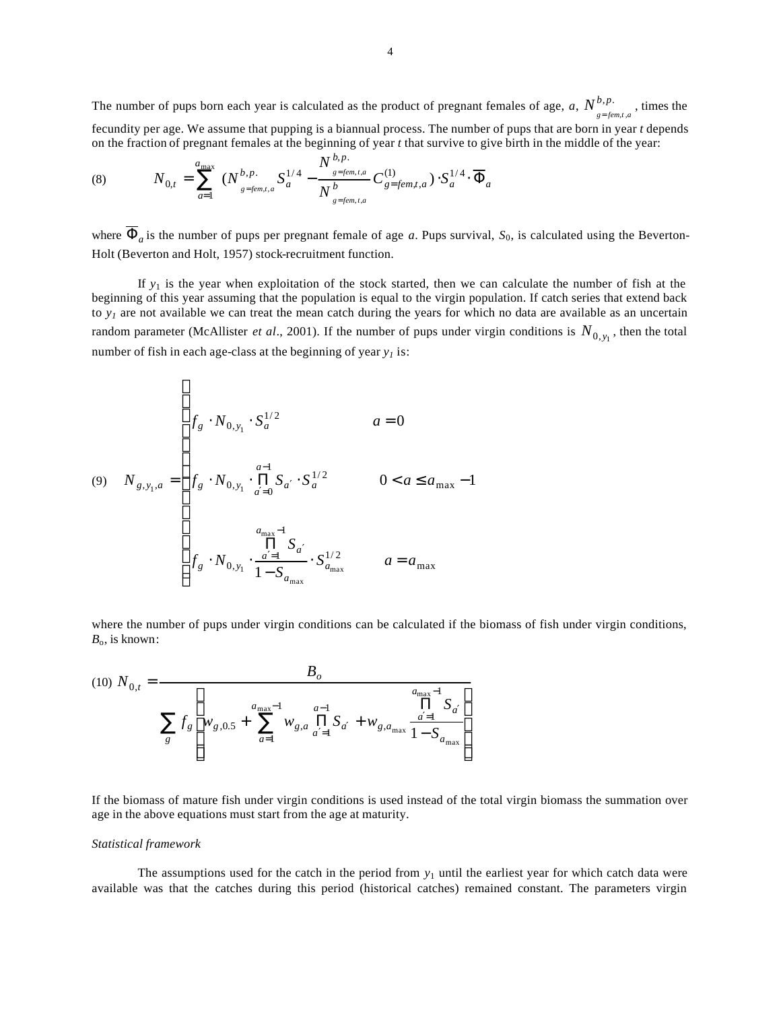The number of pups born each year is calculated as the product of pregnant females of age,  $a, N^{b,p}$ . ,*t*, *b p*  $N_{g=fem,t,a}^{b,p}$ , times the fecundity per age. We assume that pupping is a biannual process. The number of pups that are born in year *t* depends on the fraction of pregnant females at the beginning of year *t* that survive to give birth in the middle of the year:

(8) 
$$
N_{0,t} = \sum_{a=1}^{a_{\text{max}}} (N_{g=fem,t,a}^{b,p} S_a^{1/4} - \frac{N_{g=fem,t,a}^{b,p}}{N_g^{b} S_{g=fem,t,a}^{(1)}} C_{g=fem,t,a}^{(1)}) \cdot S_a^{1/4} \cdot \overline{\Phi}_a
$$

where  $\overline{\Phi}_a$  is the number of pups per pregnant female of age *a*. Pups survival,  $S_0$ , is calculated using the Beverton-Holt (Beverton and Holt, 1957) stock-recruitment function.

If  $y_1$  is the year when exploitation of the stock started, then we can calculate the number of fish at the beginning of this year assuming that the population is equal to the virgin population. If catch series that extend back to  $y<sub>I</sub>$  are not available we can treat the mean catch during the years for which no data are available as an uncertain random parameter (McAllister *et al.*, 2001). If the number of pups under virgin conditions is  $N_{0, y_1}$ , then the total number of fish in each age-class at the beginning of year *y1* is:

(9) 
$$
N_{g,y_1,a} = \begin{cases} f_g \cdot N_{0,y_1} \cdot S_a^{1/2} & a = 0 \\ f_g \cdot N_{0,y_1} \cdot \prod_{a'=0}^{a-1} S_{a'} \cdot S_a^{1/2} & 0 < a \le a_{\text{max}} - 1 \\ & \sum_{\substack{a_{\text{max}}-1 \\ \text{all} \ S_{a'} \\ 1 - S_{a_{\text{max}}}} \cdot S_{a_{\text{max}}^{\text{all}}}^{1/2} & a = a_{\text{max}} \end{cases}
$$

where the number of pups under virgin conditions can be calculated if the biomass of fish under virgin conditions, *B*o, is known:

(10) 
$$
N_{0,t} = \frac{B_o}{\sum_{g} f_g \left[ w_{g,0.5} + \sum_{a=1}^{a_{\text{max}}-1} w_{g,a} \prod_{a'=1}^{a-1} S_{a'} + w_{g,a_{\text{max}}} \frac{\prod_{a'=1}^{a_{\text{max}}-1} S_{a'}}{1 - S_{a_{\text{max}}}} \right]}
$$

If the biomass of mature fish under virgin conditions is used instead of the total virgin biomass the summation over age in the above equations must start from the age at maturity.

#### *Statistical framework*

The assumptions used for the catch in the period from  $y_1$  until the earliest year for which catch data were available was that the catches during this period (historical catches) remained constant. The parameters virgin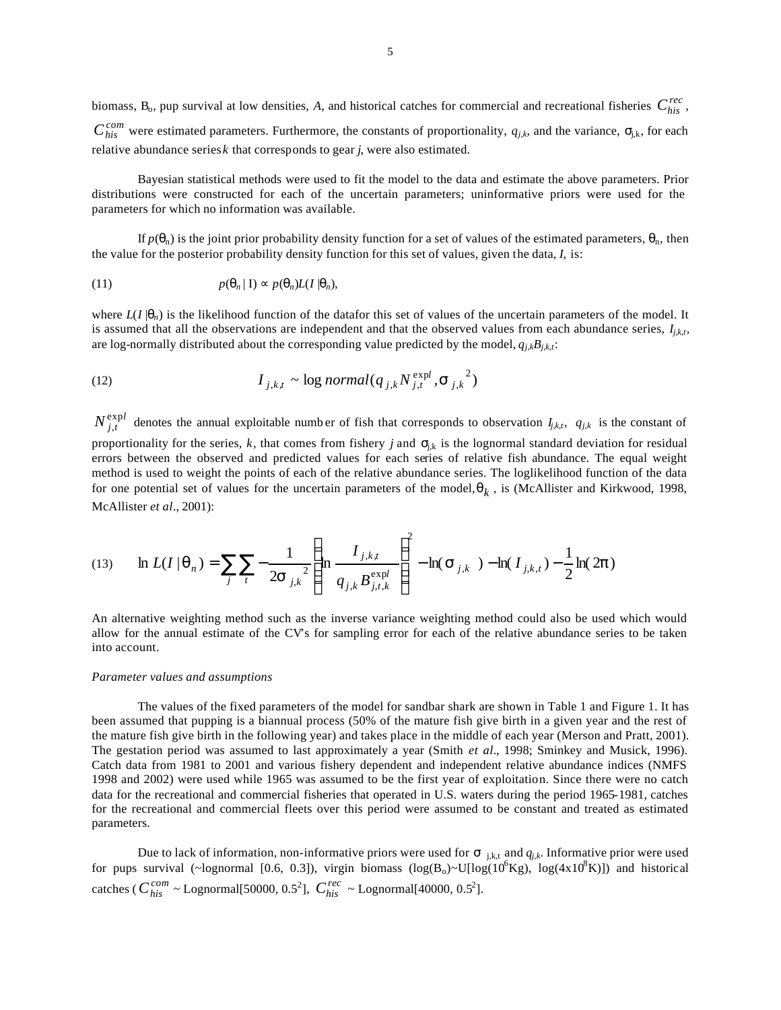biomass,  $B_0$ , pup survival at low densities, A, and historical catches for commercial and recreational fisheries  $C_{his}^{rec}$ ,  $C_{his}^{com}$  were estimated parameters. Furthermore, the constants of proportionality,  $q_{jk}$ , and the variance,  $s_{jk}$ , for each relative abundance series *k* that corresponds to gear *j*, were also estimated.

Bayesian statistical methods were used to fit the model to the data and estimate the above parameters. Prior distributions were constructed for each of the uncertain parameters; uninformative priors were used for the parameters for which no information was available.

If  $p(\mathbf{q}_n)$  is the joint prior probability density function for a set of values of the estimated parameters,  $\mathbf{q}_n$ , then the value for the posterior probability density function for this set of values, given the data, *I*, is:

(11) 
$$
p(\mathbf{q}_n | \mathbf{I}) \approx p(\mathbf{q}_n) L(I | \mathbf{q}_n),
$$

where  $L(I | q_n)$  is the likelihood function of the datafor this set of values of the uncertain parameters of the model. It is assumed that all the observations are independent and that the observed values from each abundance series,  $I_{i,kt}$ , are log-normally distributed about the corresponding value predicted by the model,  $q_{j,k}B_{j,k,t}$ :

(12) 
$$
I_{j,k,t} \sim \log normal(q_{j,k} N_{j,t}^{\text{expl}}, \mathbf{S}_{j,k}^2)
$$

 $N_{j,t}^{\text{expl}}$  $\int_{t}^{XPI}$  denotes the annual exploitable number of fish that corresponds to observation  $I_{j,k,t}$ ,  $q_{j,k}$  is the constant of proportionality for the series,  $k$ , that comes from fishery *j* and  $s_{ik}$  is the lognormal standard deviation for residual errors between the observed and predicted values for each series of relative fish abundance. The equal weight method is used to weight the points of each of the relative abundance series. The loglikelihood function of the data for one potential set of values for the uncertain parameters of the model,  $q_k$ , is (McAllister and Kirkwood, 1998, McAllister *et al*., 2001):

(13) 
$$
\ln L(I | \mathbf{q}_n) = \sum_{j} \sum_{t} -\frac{1}{2\mathbf{s}_{j,k}^{2}} \left( \ln \frac{I_{j,k,t}}{q_{j,k} B_{j,t,k}^{\exp l}} \right)^{2} - \ln(\mathbf{s}_{j,k}) - \ln(I_{j,k,t}) - \frac{1}{2} \ln(2\mathbf{p})
$$

An alternative weighting method such as the inverse variance weighting method could also be used which would allow for the annual estimate of the CV's for sampling error for each of the relative abundance series to be taken into account.

#### *Parameter values and assumptions*

The values of the fixed parameters of the model for sandbar shark are shown in Table 1 and Figure 1. It has been assumed that pupping is a biannual process (50% of the mature fish give birth in a given year and the rest of the mature fish give birth in the following year) and takes place in the middle of each year (Merson and Pratt, 2001). The gestation period was assumed to last approximately a year (Smith *et al*., 1998; Sminkey and Musick, 1996). Catch data from 1981 to 2001 and various fishery dependent and independent relative abundance indices (NMFS 1998 and 2002) were used while 1965 was assumed to be the first year of exploitation. Since there were no catch data for the recreational and commercial fisheries that operated in U.S. waters during the period 1965-1981, catches for the recreational and commercial fleets over this period were assumed to be constant and treated as estimated parameters.

Due to lack of information, non-informative priors were used for  $s_{i,k,t}$  and  $q_{j,k}$ . Informative prior were used for pups survival (~lognormal [0.6, 0.3]), virgin biomass  $(log(B_0)~U[log(10^6 \text{Kg}), log(4 \text{x} 10^8 \text{K})])$  and historical catches ( $C_{his}^{com} \sim$  Lognormal[50000, 0.5<sup>2</sup>],  $C_{his}^{rec} \sim$  Lognormal[40000, 0.5<sup>2</sup>].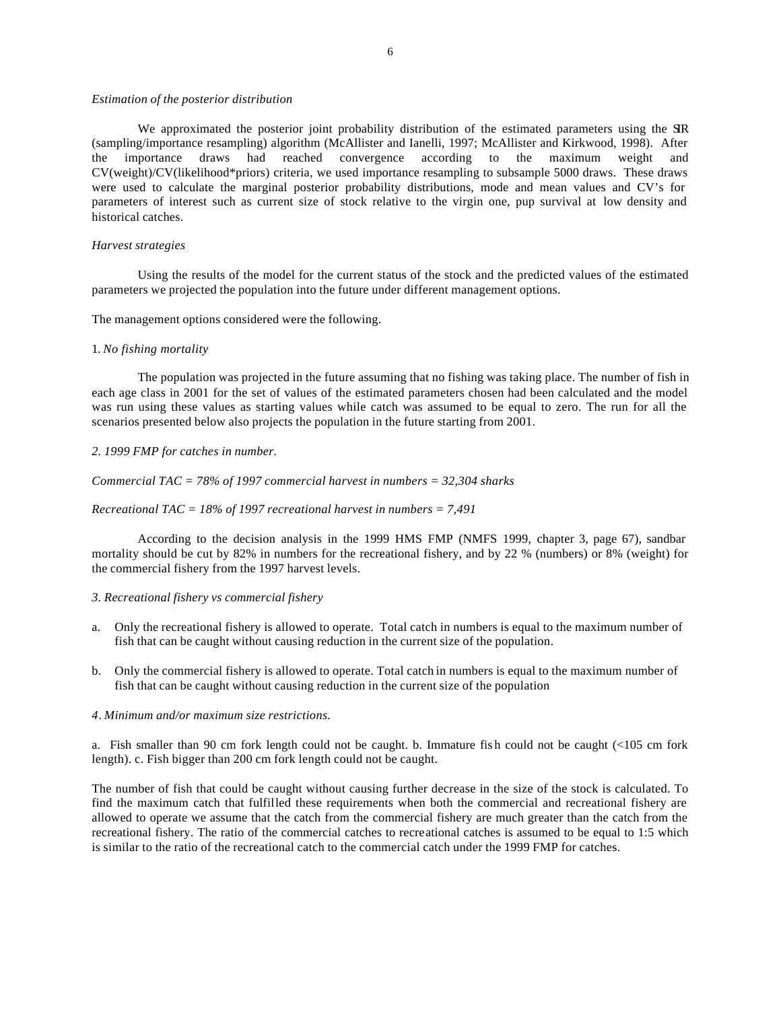#### *Estimation of the posterior distribution*

We approximated the posterior joint probability distribution of the estimated parameters using the SIR (sampling/importance resampling) algorithm (McAllister and Ianelli, 1997; McAllister and Kirkwood, 1998). After the importance draws had reached convergence according to the maximum weight and CV(weight)/CV(likelihood\*priors) criteria, we used importance resampling to subsample 5000 draws. These draws were used to calculate the marginal posterior probability distributions, mode and mean values and CV's for parameters of interest such as current size of stock relative to the virgin one, pup survival at low density and historical catches.

### *Harvest strategies*

Using the results of the model for the current status of the stock and the predicted values of the estimated parameters we projected the population into the future under different management options.

The management options considered were the following.

### 1. *No fishing mortality*

The population was projected in the future assuming that no fishing was taking place. The number of fish in each age class in 2001 for the set of values of the estimated parameters chosen had been calculated and the model was run using these values as starting values while catch was assumed to be equal to zero. The run for all the scenarios presented below also projects the population in the future starting from 2001.

#### *2. 1999 FMP for catches in number.*

#### *Commercial TAC = 78% of 1997 commercial harvest in numbers = 32,304 sharks*

### *Recreational TAC = 18% of 1997 recreational harvest in numbers = 7,491*

According to the decision analysis in the 1999 HMS FMP (NMFS 1999, chapter 3, page 67), sandbar mortality should be cut by 82% in numbers for the recreational fishery, and by 22 % (numbers) or 8% (weight) for the commercial fishery from the 1997 harvest levels.

### *3. Recreational fishery vs commercial fishery*

- a. Only the recreational fishery is allowed to operate. Total catch in numbers is equal to the maximum number of fish that can be caught without causing reduction in the current size of the population.
- b. Only the commercial fishery is allowed to operate. Total catch in numbers is equal to the maximum number of fish that can be caught without causing reduction in the current size of the population

# *4*. *Minimum and/or maximum size restrictions.*

a. Fish smaller than 90 cm fork length could not be caught. b. Immature fis h could not be caught (<105 cm fork length). c. Fish bigger than 200 cm fork length could not be caught.

The number of fish that could be caught without causing further decrease in the size of the stock is calculated. To find the maximum catch that fulfilled these requirements when both the commercial and recreational fishery are allowed to operate we assume that the catch from the commercial fishery are much greater than the catch from the recreational fishery. The ratio of the commercial catches to recreational catches is assumed to be equal to 1:5 which is similar to the ratio of the recreational catch to the commercial catch under the 1999 FMP for catches.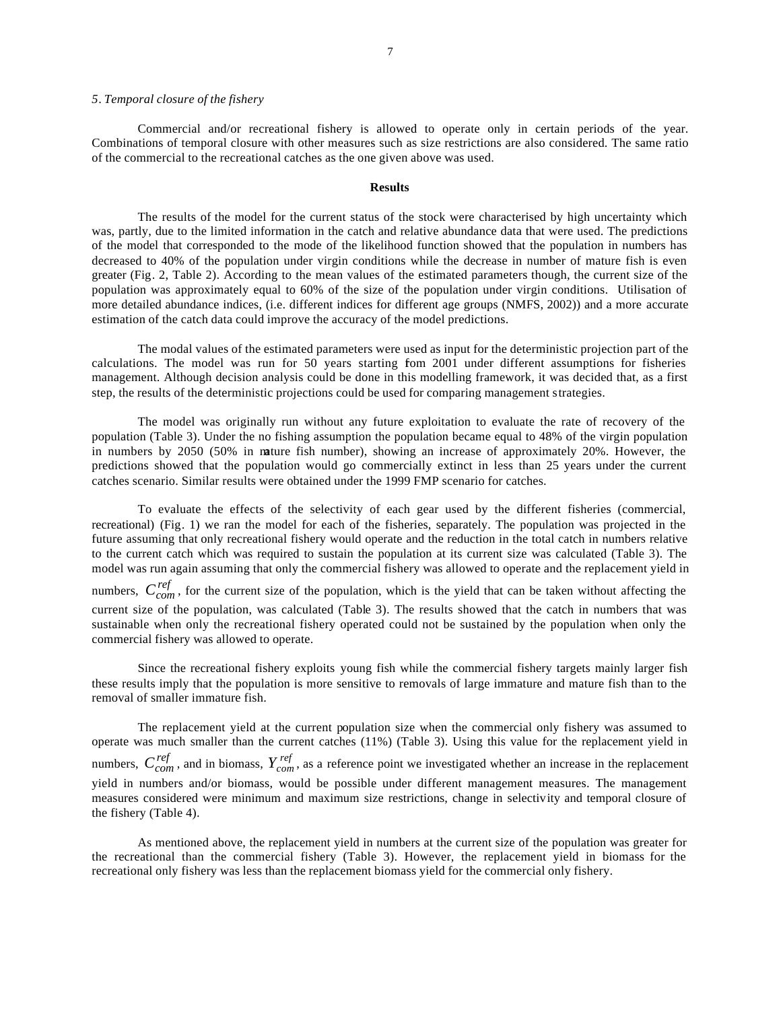### *5*. *Temporal closure of the fishery*

commercial fishery was allowed to operate.

Commercial and/or recreational fishery is allowed to operate only in certain periods of the year. Combinations of temporal closure with other measures such as size restrictions are also considered. The same ratio of the commercial to the recreational catches as the one given above was used.

#### **Results**

The results of the model for the current status of the stock were characterised by high uncertainty which was, partly, due to the limited information in the catch and relative abundance data that were used. The predictions of the model that corresponded to the mode of the likelihood function showed that the population in numbers has decreased to 40% of the population under virgin conditions while the decrease in number of mature fish is even greater (Fig. 2, Table 2). According to the mean values of the estimated parameters though, the current size of the population was approximately equal to 60% of the size of the population under virgin conditions. Utilisation of more detailed abundance indices, (i.e. different indices for different age groups (NMFS, 2002)) and a more accurate estimation of the catch data could improve the accuracy of the model predictions.

The modal values of the estimated parameters were used as input for the deterministic projection part of the calculations. The model was run for 50 years starting fom 2001 under different assumptions for fisheries management. Although decision analysis could be done in this modelling framework, it was decided that, as a first step, the results of the deterministic projections could be used for comparing management strategies.

The model was originally run without any future exploitation to evaluate the rate of recovery of the population (Table 3). Under the no fishing assumption the population became equal to 48% of the virgin population in numbers by 2050 (50% in mature fish number), showing an increase of approximately 20%. However, the predictions showed that the population would go commercially extinct in less than 25 years under the current catches scenario. Similar results were obtained under the 1999 FMP scenario for catches.

To evaluate the effects of the selectivity of each gear used by the different fisheries (commercial, recreational) (Fig. 1) we ran the model for each of the fisheries, separately. The population was projected in the future assuming that only recreational fishery would operate and the reduction in the total catch in numbers relative to the current catch which was required to sustain the population at its current size was calculated (Table 3). The model was run again assuming that only the commercial fishery was allowed to operate and the replacement yield in numbers,  $C_{com}^{ref}$ , for the current size of the population, which is the yield that can be taken without affecting the current size of the population, was calculated (Table 3). The results showed that the catch in numbers that was sustainable when only the recreational fishery operated could not be sustained by the population when only the

Since the recreational fishery exploits young fish while the commercial fishery targets mainly larger fish these results imply that the population is more sensitive to removals of large immature and mature fish than to the removal of smaller immature fish.

The replacement yield at the current population size when the commercial only fishery was assumed to operate was much smaller than the current catches (11%) (Table 3). Using this value for the replacement yield in numbers,  $C_{com}^{ref}$ , and in biomass,  $Y_{com}^{ref}$ , as a reference point we investigated whether an increase in the replacement yield in numbers and/or biomass, would be possible under different management measures. The management measures considered were minimum and maximum size restrictions, change in selectivity and temporal closure of the fishery (Table 4).

As mentioned above, the replacement yield in numbers at the current size of the population was greater for the recreational than the commercial fishery (Table 3). However, the replacement yield in biomass for the recreational only fishery was less than the replacement biomass yield for the commercial only fishery.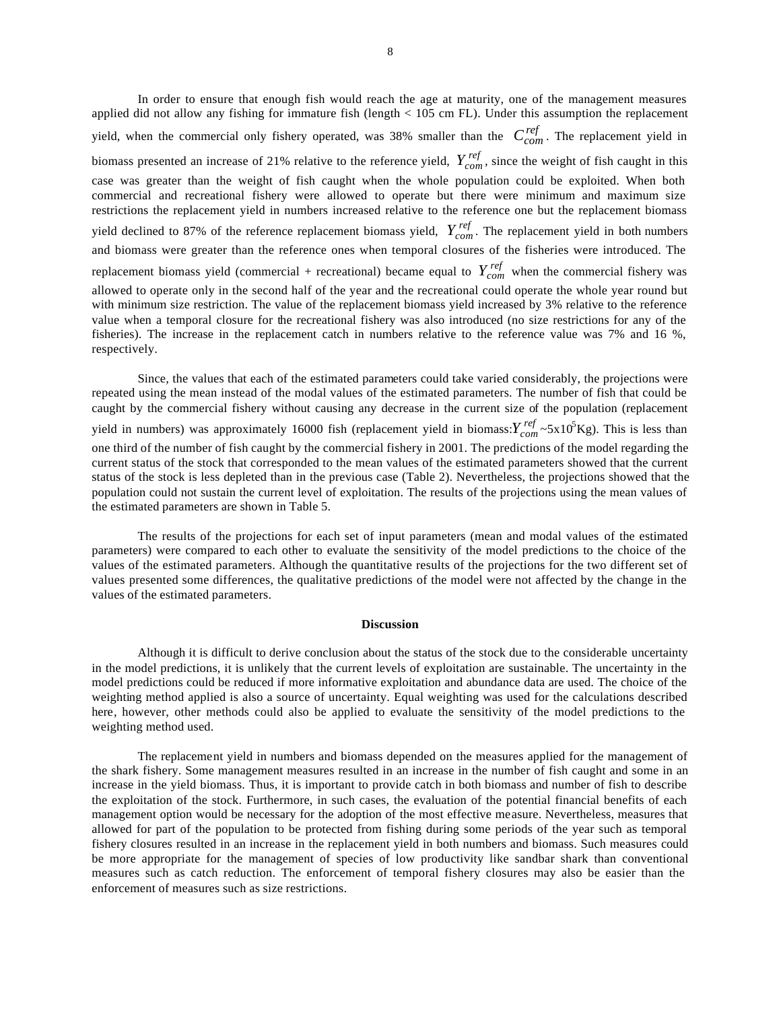In order to ensure that enough fish would reach the age at maturity, one of the management measures applied did not allow any fishing for immature fish (length < 105 cm FL). Under this assumption the replacement yield, when the commercial only fishery operated, was 38% smaller than the  $C_{com}^{ref}$ . The replacement yield in biomass presented an increase of 21% relative to the reference yield,  $Y_{com}^{ref}$ , since the weight of fish caught in this case was greater than the weight of fish caught when the whole population could be exploited. When both commercial and recreational fishery were allowed to operate but there were minimum and maximum size restrictions the replacement yield in numbers increased relative to the reference one but the replacement biomass yield declined to 87% of the reference replacement biomass yield,  $Y_{com}^{ref}$ . The replacement yield in both numbers and biomass were greater than the reference ones when temporal closures of the fisheries were introduced. The replacement biomass yield (commercial + recreational) became equal to  $Y_{com}^{ref}$  when the commercial fishery was allowed to operate only in the second half of the year and the recreational could operate the whole year round but with minimum size restriction. The value of the replacement biomass yield increased by 3% relative to the reference value when a temporal closure for the recreational fishery was also introduced (no size restrictions for any of the fisheries). The increase in the replacement catch in numbers relative to the reference value was 7% and 16 %, respectively.

Since, the values that each of the estimated parameters could take varied considerably, the projections were repeated using the mean instead of the modal values of the estimated parameters. The number of fish that could be caught by the commercial fishery without causing any decrease in the current size of the population (replacement yield in numbers) was approximately 16000 fish (replacement yield in biomass:  $Y_{com}^{ref} \sim 5 \times 10^5$ Kg). This is less than one third of the number of fish caught by the commercial fishery in 2001. The predictions of the model regarding the current status of the stock that corresponded to the mean values of the estimated parameters showed that the current status of the stock is less depleted than in the previous case (Table 2). Nevertheless, the projections showed that the population could not sustain the current level of exploitation. The results of the projections using the mean values of the estimated parameters are shown in Table 5.

The results of the projections for each set of input parameters (mean and modal values of the estimated parameters) were compared to each other to evaluate the sensitivity of the model predictions to the choice of the values of the estimated parameters. Although the quantitative results of the projections for the two different set of values presented some differences, the qualitative predictions of the model were not affected by the change in the values of the estimated parameters.

# **Discussion**

Although it is difficult to derive conclusion about the status of the stock due to the considerable uncertainty in the model predictions, it is unlikely that the current levels of exploitation are sustainable. The uncertainty in the model predictions could be reduced if more informative exploitation and abundance data are used. The choice of the weighting method applied is also a source of uncertainty. Equal weighting was used for the calculations described here, however, other methods could also be applied to evaluate the sensitivity of the model predictions to the weighting method used.

The replacement yield in numbers and biomass depended on the measures applied for the management of the shark fishery. Some management measures resulted in an increase in the number of fish caught and some in an increase in the yield biomass. Thus, it is important to provide catch in both biomass and number of fish to describe the exploitation of the stock. Furthermore, in such cases, the evaluation of the potential financial benefits of each management option would be necessary for the adoption of the most effective measure. Nevertheless, measures that allowed for part of the population to be protected from fishing during some periods of the year such as temporal fishery closures resulted in an increase in the replacement yield in both numbers and biomass. Such measures could be more appropriate for the management of species of low productivity like sandbar shark than conventional measures such as catch reduction. The enforcement of temporal fishery closures may also be easier than the enforcement of measures such as size restrictions.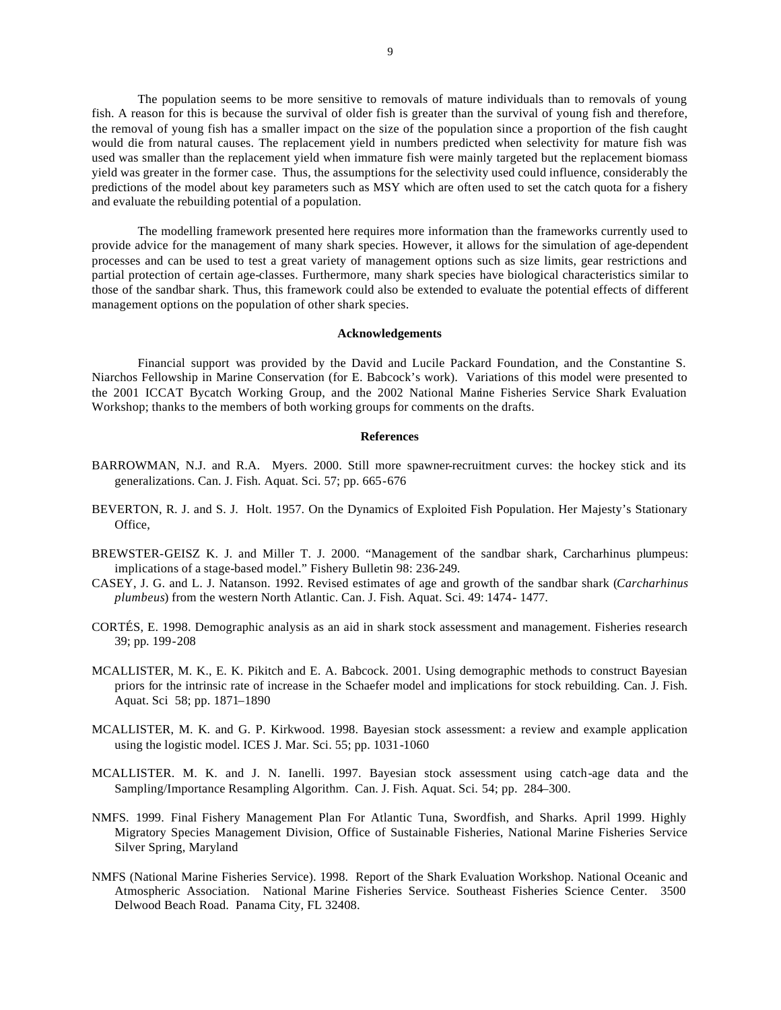The population seems to be more sensitive to removals of mature individuals than to removals of young fish. A reason for this is because the survival of older fish is greater than the survival of young fish and therefore, the removal of young fish has a smaller impact on the size of the population since a proportion of the fish caught would die from natural causes. The replacement yield in numbers predicted when selectivity for mature fish was used was smaller than the replacement yield when immature fish were mainly targeted but the replacement biomass yield was greater in the former case. Thus, the assumptions for the selectivity used could influence, considerably the predictions of the model about key parameters such as MSY which are often used to set the catch quota for a fishery and evaluate the rebuilding potential of a population.

The modelling framework presented here requires more information than the frameworks currently used to provide advice for the management of many shark species. However, it allows for the simulation of age-dependent processes and can be used to test a great variety of management options such as size limits, gear restrictions and partial protection of certain age-classes. Furthermore, many shark species have biological characteristics similar to those of the sandbar shark. Thus, this framework could also be extended to evaluate the potential effects of different management options on the population of other shark species.

### **Acknowledgements**

Financial support was provided by the David and Lucile Packard Foundation, and the Constantine S. Niarchos Fellowship in Marine Conservation (for E. Babcock's work). Variations of this model were presented to the 2001 ICCAT Bycatch Working Group, and the 2002 National Marine Fisheries Service Shark Evaluation Workshop; thanks to the members of both working groups for comments on the drafts.

#### **References**

- BARROWMAN, N.J. and R.A. Myers. 2000. Still more spawner-recruitment curves: the hockey stick and its generalizations. Can. J. Fish. Aquat. Sci. 57; pp. 665-676
- BEVERTON, R. J. and S. J. Holt. 1957. On the Dynamics of Exploited Fish Population. Her Majesty's Stationary Office,
- BREWSTER-GEISZ K. J. and Miller T. J. 2000. "Management of the sandbar shark, Carcharhinus plumpeus: implications of a stage-based model." Fishery Bulletin 98: 236-249.
- CASEY, J. G. and L. J. Natanson. 1992. Revised estimates of age and growth of the sandbar shark (*Carcharhinus plumbeus*) from the western North Atlantic. Can. J. Fish. Aquat. Sci. 49: 1474- 1477.
- CORTÉS, E. 1998. Demographic analysis as an aid in shark stock assessment and management. Fisheries research 39; pp. 199-208
- MCALLISTER, M. K., E. K. Pikitch and E. A. Babcock. 2001. Using demographic methods to construct Bayesian priors for the intrinsic rate of increase in the Schaefer model and implications for stock rebuilding. Can. J. Fish. Aquat. Sci 58; pp. 1871–1890
- MCALLISTER, M. K. and G. P. Kirkwood. 1998. Bayesian stock assessment: a review and example application using the logistic model. ICES J. Mar. Sci. 55; pp. 1031-1060
- MCALLISTER. M. K. and J. N. Ianelli. 1997. Bayesian stock assessment using catch-age data and the Sampling/Importance Resampling Algorithm. Can. J. Fish. Aquat. Sci. 54; pp. 284–300.
- NMFS. 1999. Final Fishery Management Plan For Atlantic Tuna, Swordfish, and Sharks. April 1999. Highly Migratory Species Management Division, Office of Sustainable Fisheries, National Marine Fisheries Service Silver Spring, Maryland
- NMFS (National Marine Fisheries Service). 1998. Report of the Shark Evaluation Workshop. National Oceanic and Atmospheric Association. National Marine Fisheries Service. Southeast Fisheries Science Center. 3500 Delwood Beach Road. Panama City, FL 32408.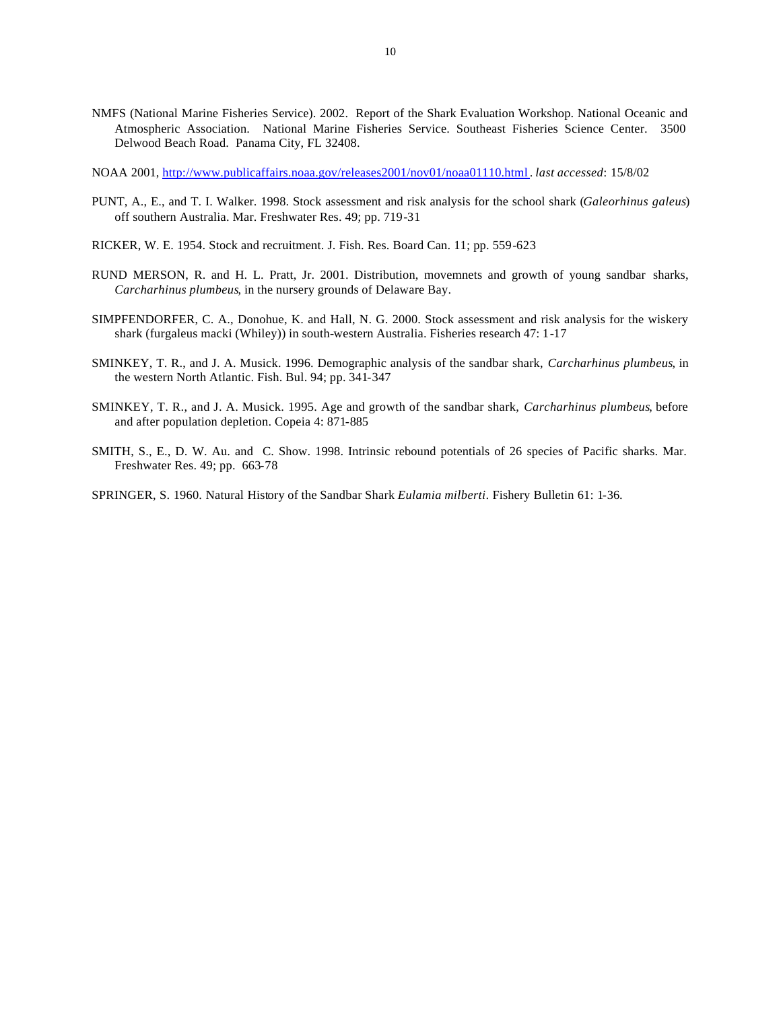- NMFS (National Marine Fisheries Service). 2002. Report of the Shark Evaluation Workshop. National Oceanic and Atmospheric Association. National Marine Fisheries Service. Southeast Fisheries Science Center. 3500 Delwood Beach Road. Panama City, FL 32408.
- NOAA 2001, http://www.publicaffairs.noaa.gov/releases2001/nov01/noaa01110.html . *last accessed*: 15/8/02
- PUNT, A., E., and T. I. Walker. 1998. Stock assessment and risk analysis for the school shark (*Galeorhinus galeus*) off southern Australia. Mar. Freshwater Res. 49; pp. 719-31
- RICKER, W. E. 1954. Stock and recruitment. J. Fish. Res. Board Can. 11; pp. 559-623
- RUND MERSON, R. and H. L. Pratt, Jr. 2001. Distribution, movemnets and growth of young sandbar sharks, *Carcharhinus plumbeus*, in the nursery grounds of Delaware Bay.
- SIMPFENDORFER, C. A., Donohue, K. and Hall, N. G. 2000. Stock assessment and risk analysis for the wiskery shark (furgaleus macki (Whiley)) in south-western Australia. Fisheries research 47: 1-17
- SMINKEY, T. R., and J. A. Musick. 1996. Demographic analysis of the sandbar shark, *Carcharhinus plumbeus*, in the western North Atlantic. Fish. Bul. 94; pp. 341-347
- SMINKEY, T. R., and J. A. Musick. 1995. Age and growth of the sandbar shark, *Carcharhinus plumbeus*, before and after population depletion. Copeia 4: 871-885
- SMITH, S., E., D. W. Au. and C. Show. 1998. Intrinsic rebound potentials of 26 species of Pacific sharks. Mar. Freshwater Res. 49; pp. 663-78
- SPRINGER, S. 1960. Natural History of the Sandbar Shark *Eulamia milberti*. Fishery Bulletin 61: 1-36.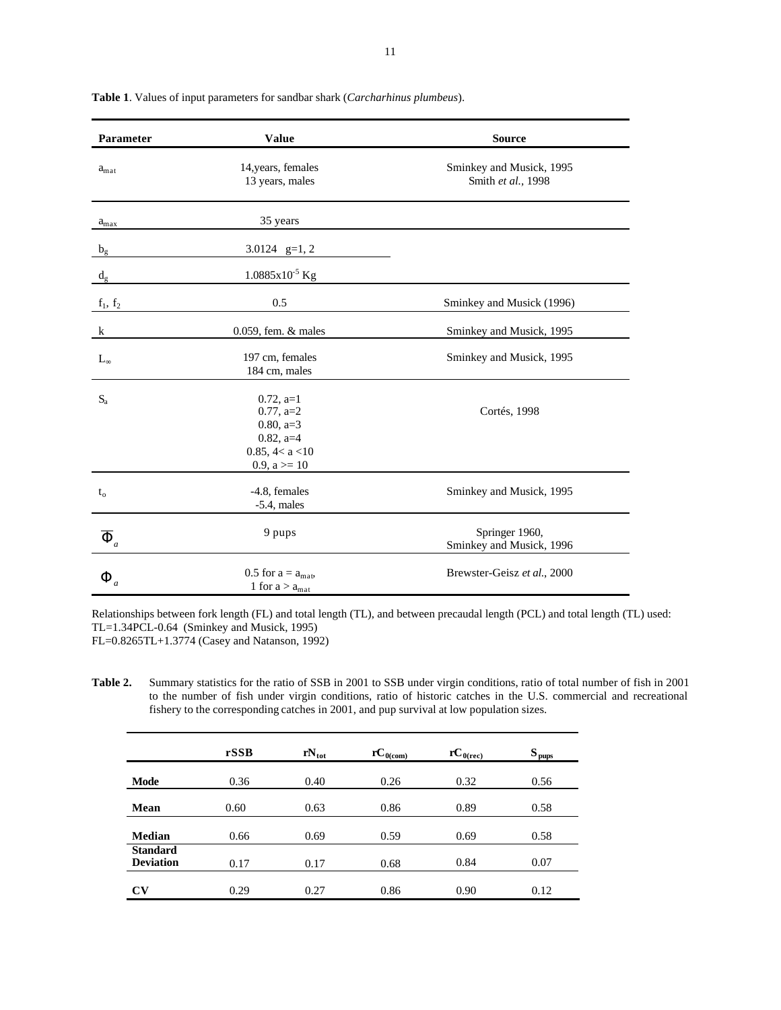| Parameter           | <b>Value</b>                                                                                       | <b>Source</b>                                  |
|---------------------|----------------------------------------------------------------------------------------------------|------------------------------------------------|
| $a_{\text{mat}}$    | 14, years, females<br>13 years, males                                                              | Sminkey and Musick, 1995<br>Smith et al., 1998 |
| $a_{\rm max}$       | 35 years                                                                                           |                                                |
| $b_{\rm g}$         | 3.0124 $g=1, 2$                                                                                    |                                                |
| $d_{g}$             | $1.0885x10^{-5}$ Kg                                                                                |                                                |
| $f_1, f_2$          | 0.5                                                                                                | Sminkey and Musick (1996)                      |
| $\mathbf k$         | $0.059$ , fem. $&$ males                                                                           | Sminkey and Musick, 1995                       |
| $L_{\infty}$        | 197 cm, females<br>184 cm, males                                                                   | Sminkey and Musick, 1995                       |
| $S_{a}$             | $0.72$ , a=1<br>$0.77$ , a=2<br>$0.80, a=3$<br>$0.82$ , a=4<br>0.85, 4 < a < 10<br>$0.9, a \ge 10$ | Cortés, 1998                                   |
| $t_{0}$             | -4.8, females<br>$-5.4$ , males                                                                    | Sminkey and Musick, 1995                       |
| $\overline{\Phi}_a$ | 9 pups                                                                                             | Springer 1960,<br>Sminkey and Musick, 1996     |
| $\Phi_{_a}$         | 0.5 for $a = a_{\text{mat}}$ ,<br>1 for $a > a_{mat}$                                              | Brewster-Geisz et al., 2000                    |

**Table 1**. Values of input parameters for sandbar shark (*Carcharhinus plumbeus*).

Relationships between fork length (FL) and total length (TL), and between precaudal length (PCL) and total length (TL) used: TL=1.34PCL-0.64 (Sminkey and Musick, 1995) FL=0.8265TL+1.3774 (Casey and Natanson, 1992)

**Table 2.** Summary statistics for the ratio of SSB in 2001 to SSB under virgin conditions, ratio of total number of fish in 2001 to the number of fish under virgin conditions, ratio of historic catches in the U.S. commercial and recreational fishery to the corresponding catches in 2001, and pup survival at low population sizes.

|                  | rSSB | $rN_{\text{tot}}$ | $rC_{0 (com)}$ | ${rC}_{0(rec)}$ | $S_{\text{pups}}$ |
|------------------|------|-------------------|----------------|-----------------|-------------------|
| Mode             | 0.36 | 0.40              | 0.26           | 0.32            | 0.56              |
|                  |      |                   |                |                 |                   |
| Mean             | 0.60 | 0.63              | 0.86           | 0.89            | 0.58              |
|                  |      |                   |                |                 |                   |
| <b>Median</b>    | 0.66 | 0.69              | 0.59           | 0.69            | 0.58              |
| <b>Standard</b>  |      |                   |                |                 |                   |
| <b>Deviation</b> | 0.17 | 0.17              | 0.68           | 0.84            | 0.07              |
|                  |      |                   |                |                 |                   |
| <b>CV</b>        | 0.29 | 0.27              | 0.86           | 0.90            | 0.12              |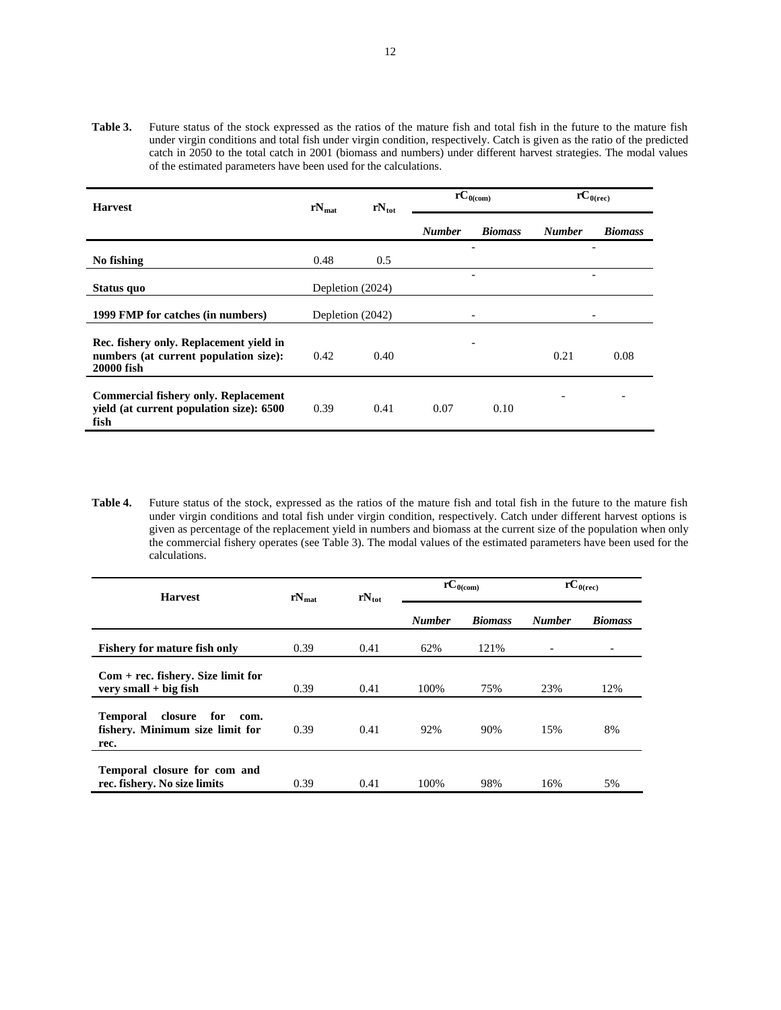**Table 3.** Future status of the stock expressed as the ratios of the mature fish and total fish in the future to the mature fish under virgin conditions and total fish under virgin condition, respectively. Catch is given as the ratio of the predicted catch in 2050 to the total catch in 2001 (biomass and numbers) under different harvest strategies. The modal values of the estimated parameters have been used for the calculations.

| <b>Harvest</b>                                                                                  | $rN_{\text{tot}}$<br>$rN_{\text{mat}}$ |                  | $\overline{r}C_{0(\text{com})}$ |                | $\overline{\text{r}}$ C <sub>0(rec)</sub> |                |
|-------------------------------------------------------------------------------------------------|----------------------------------------|------------------|---------------------------------|----------------|-------------------------------------------|----------------|
|                                                                                                 |                                        |                  | <b>Number</b>                   | <b>Biomass</b> | <b>Number</b>                             | <b>Biomass</b> |
| No fishing                                                                                      | 0.48                                   | 0.5              |                                 | -              |                                           |                |
| Status quo                                                                                      |                                        | Depletion (2024) |                                 |                |                                           |                |
| 1999 FMP for catches (in numbers)                                                               |                                        | Depletion (2042) |                                 |                |                                           |                |
| Rec. fishery only. Replacement yield in<br>numbers (at current population size):<br>20000 fish  | 0.42                                   | 0.40             |                                 |                | 0.21                                      | 0.08           |
| <b>Commercial fishery only. Replacement</b><br>yield (at current population size): 6500<br>fish | 0.39                                   | 0.41             | 0.07                            | 0.10           |                                           |                |

**Table 4.** Future status of the stock, expressed as the ratios of the mature fish and total fish in the future to the mature fish under virgin conditions and total fish under virgin condition, respectively. Catch under different harvest options is given as percentage of the replacement yield in numbers and biomass at the current size of the population when only the commercial fishery operates (see Table 3). The modal values of the estimated parameters have been used for the calculations.

| <b>Harvest</b>                                                                       | $rN_{\text{mat}}$ | $rN_{\text{tot}}$ | $\overline{\mathbf{r}}\mathbf{C}_{0(\text{com})}$ |                | $\overline{\text{r}}\text{C}_{0(\text{rec})}$ |                          |
|--------------------------------------------------------------------------------------|-------------------|-------------------|---------------------------------------------------|----------------|-----------------------------------------------|--------------------------|
|                                                                                      |                   |                   | <b>Number</b>                                     | <b>Biomass</b> | <b>Number</b>                                 | <b>Biomass</b>           |
| <b>Fishery for mature fish only</b>                                                  | 0.39              | 0.41              | 62%                                               | 121%           | $\overline{\phantom{0}}$                      | $\overline{\phantom{a}}$ |
| $Com + rec$ . fishery. Size limit for<br>$very small + big fish$                     | 0.39              | 0.41              | 100%                                              | 75%            | 23%                                           | 12%                      |
| <b>Temporal</b><br>closure<br>for<br>com.<br>fishery. Minimum size limit for<br>rec. | 0.39              | 0.41              | 92%                                               | 90%            | 15%                                           | 8%                       |
| Temporal closure for com and<br>rec. fishery. No size limits                         | 0.39              | 0.41              | 100%                                              | 98%            | 16%                                           | 5%                       |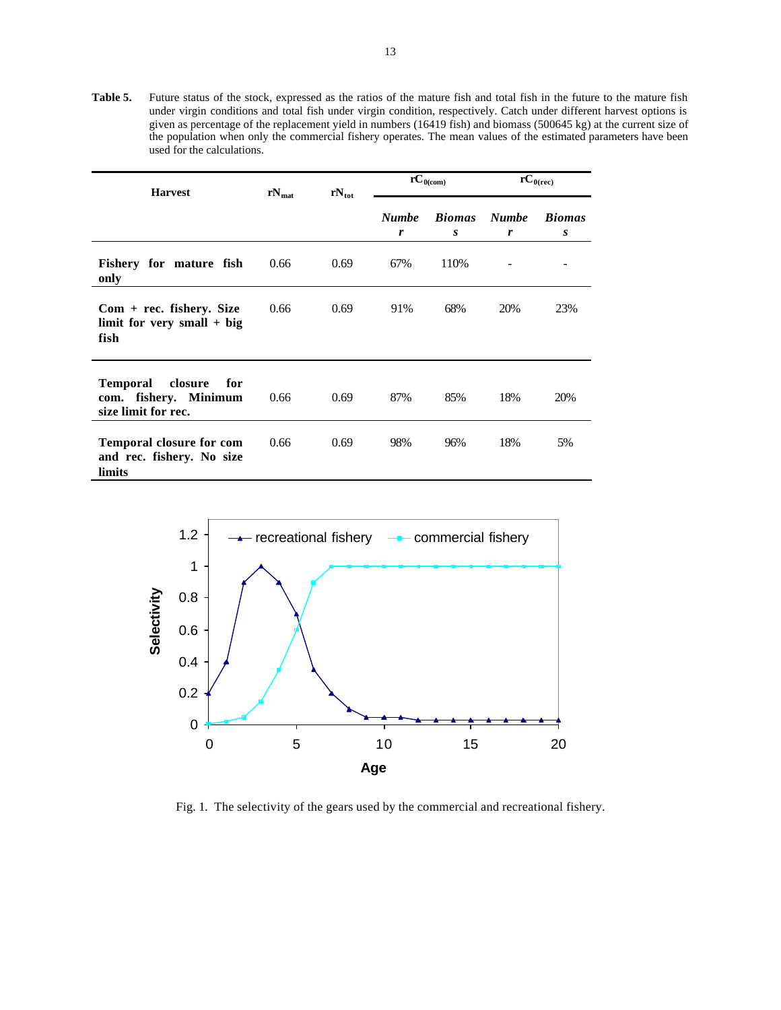**Table 5.** Future status of the stock, expressed as the ratios of the mature fish and total fish in the future to the mature fish under virgin conditions and total fish under virgin condition, respectively. Catch under different harvest options is given as percentage of the replacement yield in numbers (16419 fish) and biomass (500645 kg) at the current size of the population when only the commercial fishery operates. The mean values of the estimated parameters have been used for the calculations.

|                                                                            | $rN_{\text{mat}}$ |                   | $\overline{rC}_{0 (com)}$ |               | $\overline{rC}_{0(rec)}$ |               |
|----------------------------------------------------------------------------|-------------------|-------------------|---------------------------|---------------|--------------------------|---------------|
| <b>Harvest</b>                                                             |                   | $rN_{\text{tot}}$ |                           |               |                          |               |
|                                                                            |                   |                   | <b>Numbe</b>              | <b>Biomas</b> | <b>Numbe</b>             | <b>Biomas</b> |
|                                                                            |                   |                   | r                         | S             | r                        | S             |
| Fishery for mature fish<br>only                                            | 0.66              | 0.69              | 67%                       | 110%          |                          |               |
| $Com + rec.$ fishery. Size<br>limit for very small $+$ big<br>fish         | 0.66              | 0.69              | 91%                       | 68%           | 20%                      | 23%           |
| Temporal<br>closure<br>for<br>com. fishery. Minimum<br>size limit for rec. | 0.66              | 0.69              | 87%                       | 85%           | 18%                      | 20%           |
| <b>Temporal closure for com</b><br>and rec. fishery. No size<br>limits     | 0.66              | 0.69              | 98%                       | 96%           | 18%                      | 5%            |



Fig. 1. The selectivity of the gears used by the commercial and recreational fishery.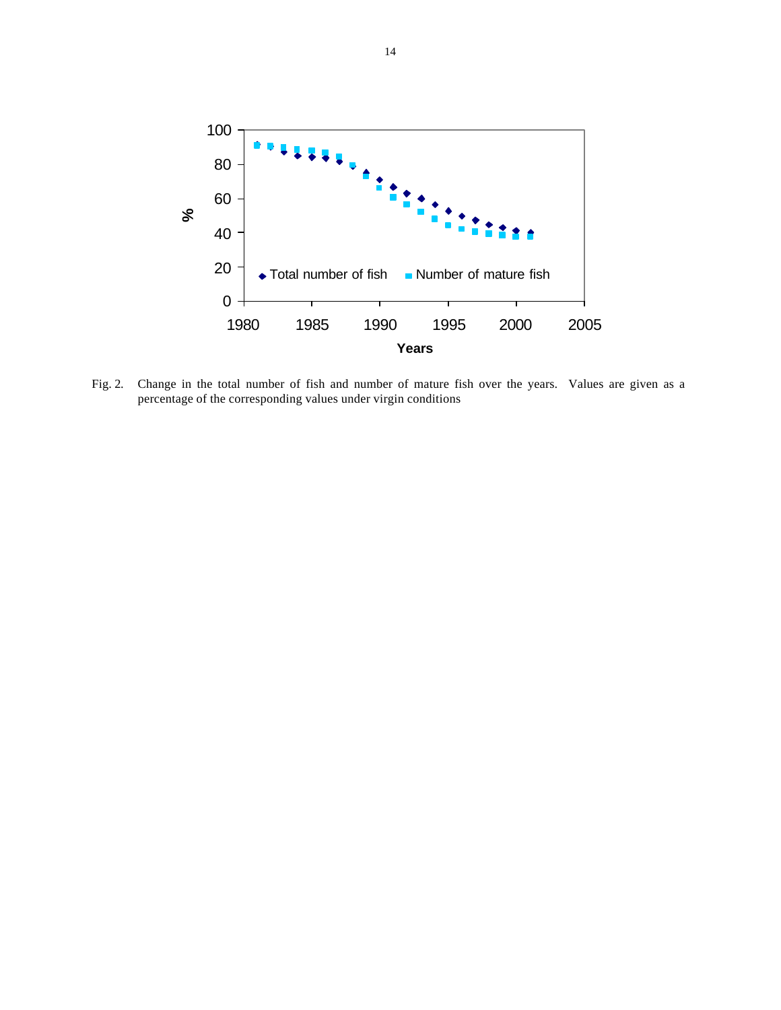

Fig. 2.Change in the total number of fish and number of mature fish over the years. Values are given as a percentage of the corresponding values under virgin conditions